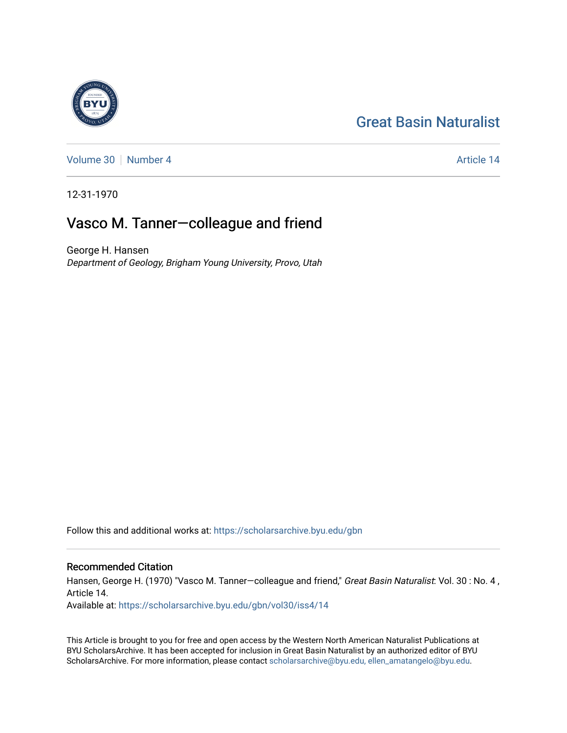## [Great Basin Naturalist](https://scholarsarchive.byu.edu/gbn)



[Volume 30](https://scholarsarchive.byu.edu/gbn/vol30) [Number 4](https://scholarsarchive.byu.edu/gbn/vol30/iss4) Article 14

12-31-1970

## Vasco M. Tanner—colleague and friend

George H. Hansen Department of Geology, Brigham Young University, Provo, Utah

Follow this and additional works at: [https://scholarsarchive.byu.edu/gbn](https://scholarsarchive.byu.edu/gbn?utm_source=scholarsarchive.byu.edu%2Fgbn%2Fvol30%2Fiss4%2F14&utm_medium=PDF&utm_campaign=PDFCoverPages) 

## Recommended Citation

Hansen, George H. (1970) "Vasco M. Tanner-colleague and friend," Great Basin Naturalist: Vol. 30 : No. 4, Article 14.

Available at: [https://scholarsarchive.byu.edu/gbn/vol30/iss4/14](https://scholarsarchive.byu.edu/gbn/vol30/iss4/14?utm_source=scholarsarchive.byu.edu%2Fgbn%2Fvol30%2Fiss4%2F14&utm_medium=PDF&utm_campaign=PDFCoverPages) 

This Article is brought to you for free and open access by the Western North American Naturalist Publications at BYU ScholarsArchive. It has been accepted for inclusion in Great Basin Naturalist by an authorized editor of BYU ScholarsArchive. For more information, please contact [scholarsarchive@byu.edu, ellen\\_amatangelo@byu.edu.](mailto:scholarsarchive@byu.edu,%20ellen_amatangelo@byu.edu)